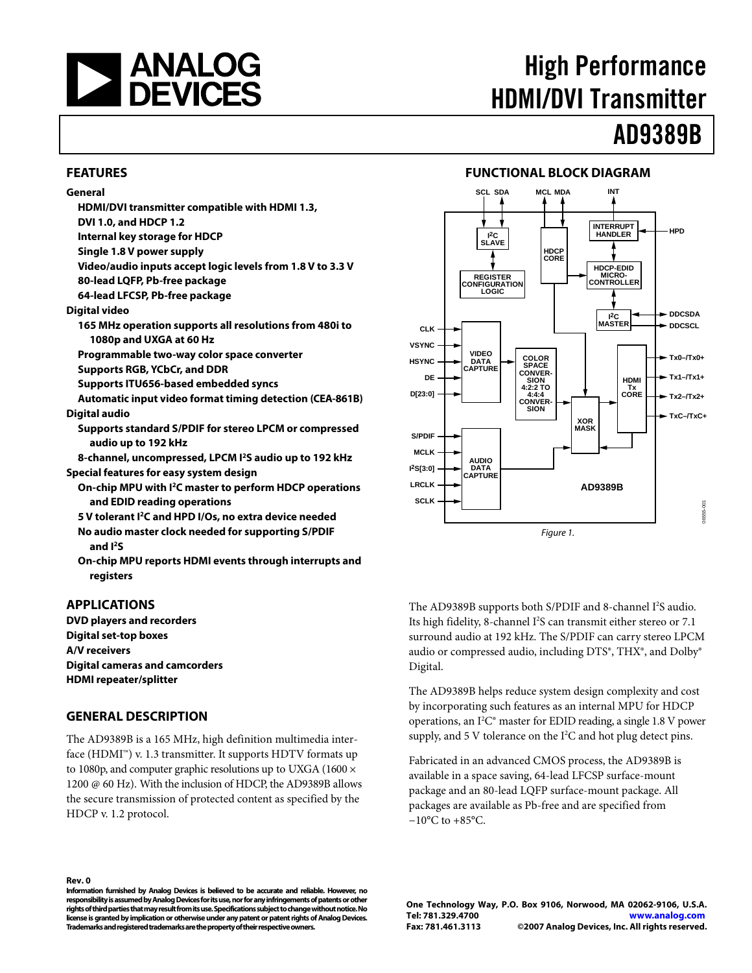<span id="page-0-0"></span>

# High Performance HDMI/DVI Transmitter

# AD9389B

### **FEATURES**

#### **General**

- **HDMI/DVI transmitter compatible with HDMI 1.3,**
- **DVI 1.0, and HDCP 1.2**
- **Internal key storage for HDCP**
- **Single 1.8 V power supply**
- **Video/audio inputs accept logic levels from 1.8 V to 3.3 V**
- **80-lead LQFP, Pb-free package**
- **64-lead LFCSP, Pb-free package**

**Digital video** 

- **165 MHz operation supports all resolutions from 480i to 1080p and UXGA at 60 Hz**
- **Programmable two-way color space converter**
- **Supports RGB, YCbCr, and DDR**
- **Supports ITU656-based embedded syncs**
- **Automatic input video format timing detection (CEA-861B) Digital audio** 
	- **Supports standard S/PDIF for stereo LPCM or compressed audio up to 192 kHz**
- **8-channel, uncompressed, LPCM I2S audio up to 192 kHz**
- **Special features for easy system design** 
	- **On-chip MPU with I2C master to perform HDCP operations and EDID reading operations**
	- **5 V tolerant I2C and HPD I/Os, no extra device needed**
	- **No audio master clock needed for supporting S/PDIF and I2S**
	- **On-chip MPU reports HDMI events through interrupts and registers**

### **APPLICATIONS**

**DVD players and recorders Digital set-top boxes A/V receivers Digital cameras and camcorders HDMI repeater/splitter** 

### **GENERAL DESCRIPTION**

The AD9389B is a 165 MHz, high definition multimedia interface (HDMI™) v. 1.3 transmitter. It supports HDTV formats up to 1080p, and computer graphic resolutions up to UXGA (1600  $\times$ 1200 @ 60 Hz). With the inclusion of HDCP, the AD9389B allows the secure transmission of protected content as specified by the HDCP v. 1.2 protocol.



The AD9389B supports both S/PDIF and 8-channel I<sup>2</sup>S audio. Its high fidelity, 8-channel I<sup>2</sup>S can transmit either stereo or 7.1 surround audio at 192 kHz. The S/PDIF can carry stereo LPCM audio or compressed audio, including DTS®, THX®, and Dolby® Digital.

The AD9389B helps reduce system design complexity and cost by incorporating such features as an internal MPU for HDCP operations, an  $1^2C^*$  master for EDID reading, a single 1.8 V power supply, and 5 V tolerance on the  $I^2C$  and hot plug detect pins.

Fabricated in an advanced CMOS process, the AD9389B is available in a space saving, 64-lead LFCSP surface-mount package and an 80-lead LQFP surface-mount package. All packages are available as Pb-free and are specified from  $-10\degree$ C to  $+85\degree$ C.

#### **Rev. 0**

**Information furnished by Analog Devices is believed to be accurate and reliable. However, no responsibility is assumed by Analog Devices for its use, nor for any infringements of patents or other rights of third parties that may result from its use. Specifications subject to change without notice. No license is granted by implication or otherwise under any patent or patent rights of Analog Devices. Trademarks and registered trademarks are the property of their respective owners.** 

**One Technology Way, P.O. Box 9106, Norwood, MA 02062-9106, U.S.A. Tel: 781.329.4700 www.analog.com Fax: 781.461.3113 ©2007 Analog Devices, Inc. All rights reserved.**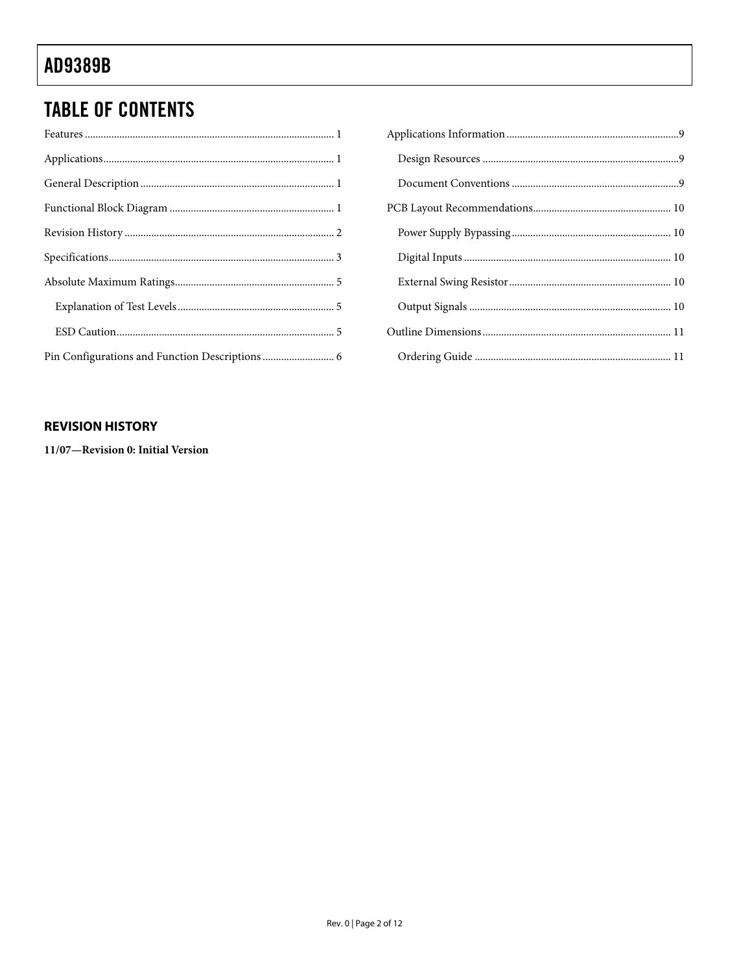# <span id="page-1-0"></span>**TABLE OF CONTENTS**

### **REVISION HISTORY**

11/07-Revision 0: Initial Version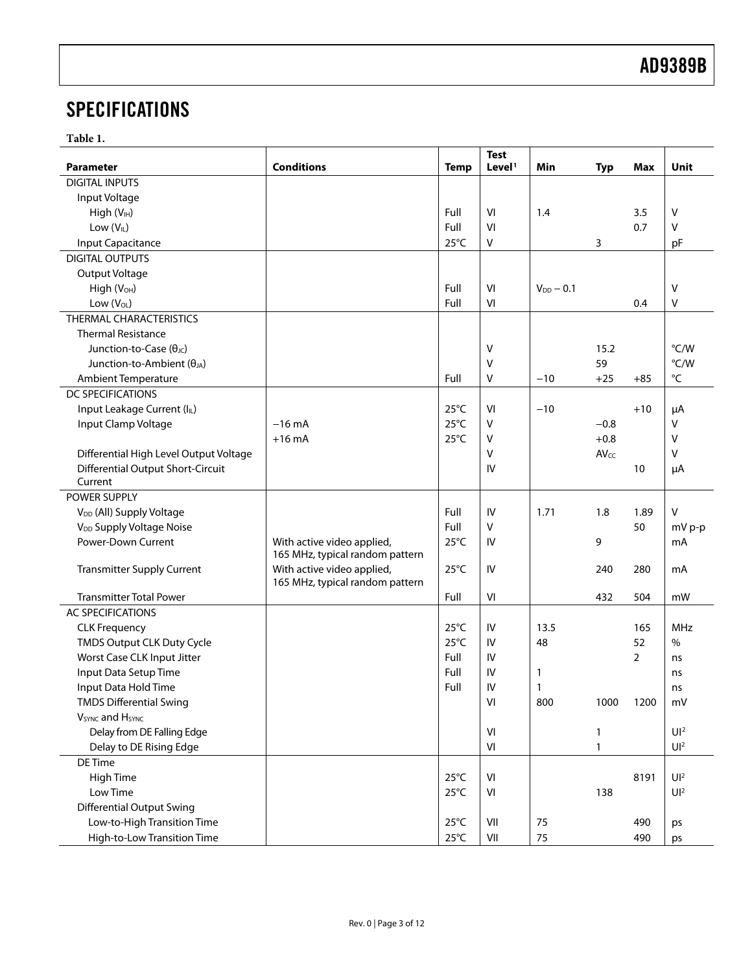# <span id="page-2-0"></span>**SPECIFICATIONS**

**Table 1.** 

|                                         |                                 |                | <b>Test</b>        |                |              |                |                   |
|-----------------------------------------|---------------------------------|----------------|--------------------|----------------|--------------|----------------|-------------------|
| <b>Parameter</b>                        | <b>Conditions</b>               | <b>Temp</b>    | Level <sup>1</sup> | Min            | <b>Typ</b>   | Max            | Unit              |
| <b>DIGITAL INPUTS</b>                   |                                 |                |                    |                |              |                |                   |
| Input Voltage                           |                                 |                |                    |                |              |                |                   |
| High (V <sub>IH</sub> )                 |                                 | Full           | VI                 | 1.4            |              | 3.5            | V                 |
| Low (VIL)                               |                                 | Full           | VI                 |                |              | 0.7            | $\vee$            |
| Input Capacitance                       |                                 | $25^{\circ}$ C | $\vee$             |                | 3            |                | pF                |
| <b>DIGITAL OUTPUTS</b>                  |                                 |                |                    |                |              |                |                   |
| Output Voltage                          |                                 |                |                    |                |              |                |                   |
| High (V <sub>OH</sub> )                 |                                 | Full           | VI                 | $V_{DD}$ - 0.1 |              |                | V                 |
| Low $(V_{OL})$                          |                                 | Full           | VI                 |                |              | 0.4            | V                 |
| THERMAL CHARACTERISTICS                 |                                 |                |                    |                |              |                |                   |
| <b>Thermal Resistance</b>               |                                 |                |                    |                |              |                |                   |
| Junction-to-Case $(\theta_{\text{JC}})$ |                                 |                | V                  |                | 15.2         |                | °C/W              |
| Junction-to-Ambient $(\theta_{JA})$     |                                 |                | V                  |                | 59           |                | °C/W              |
| Ambient Temperature                     |                                 | Full           | V                  | $-10$          | $+25$        | $+85$          | $^{\circ}{\sf C}$ |
| <b>DC SPECIFICATIONS</b>                |                                 |                |                    |                |              |                |                   |
| Input Leakage Current (IL)              |                                 | $25^{\circ}$ C | VI                 | $-10$          |              | $+10$          | μA                |
| Input Clamp Voltage                     | $-16$ mA                        | $25^{\circ}$ C | V                  |                | $-0.8$       |                | V                 |
|                                         | $+16$ mA                        | $25^{\circ}$ C | V                  |                | $+0.8$       |                | V                 |
| Differential High Level Output Voltage  |                                 |                | V                  |                | AVcc         |                | V                 |
| Differential Output Short-Circuit       |                                 |                | IV                 |                |              | 10             | μA                |
| Current                                 |                                 |                |                    |                |              |                |                   |
| POWER SUPPLY                            |                                 |                |                    |                |              |                |                   |
| V <sub>DD</sub> (All) Supply Voltage    |                                 | Full           | IV                 | 1.71           | 1.8          | 1.89           | $\vee$            |
| V <sub>DD</sub> Supply Voltage Noise    |                                 | Full           | $\vee$             |                |              | 50             | mV p-p            |
| Power-Down Current                      | With active video applied,      | $25^{\circ}$ C | IV                 |                | 9            |                | mA                |
|                                         | 165 MHz, typical random pattern |                |                    |                |              |                |                   |
| <b>Transmitter Supply Current</b>       | With active video applied,      | $25^{\circ}$ C | IV                 |                | 240          | 280            | mA                |
|                                         | 165 MHz, typical random pattern |                |                    |                |              |                |                   |
| <b>Transmitter Total Power</b>          |                                 | Full           | VI                 |                | 432          | 504            | mW                |
| <b>AC SPECIFICATIONS</b>                |                                 |                |                    |                |              |                |                   |
| <b>CLK Frequency</b>                    |                                 | $25^{\circ}$ C | IV                 | 13.5           |              | 165            | <b>MHz</b>        |
| TMDS Output CLK Duty Cycle              |                                 | $25^{\circ}$ C | IV                 | 48             |              | 52             | $\frac{0}{0}$     |
| Worst Case CLK Input Jitter             |                                 | Full           | IV                 |                |              | $\overline{2}$ | ns                |
| Input Data Setup Time                   |                                 | Full           | IV                 | $\mathbf{1}$   |              |                | ns                |
| Input Data Hold Time                    |                                 | Full           | IV                 | $\mathbf{1}$   |              |                | ns                |
| <b>TMDS Differential Swing</b>          |                                 |                | VI                 | 800            | 1000         | 1200           | mV                |
| V <sub>SYNC</sub> and H <sub>SYNC</sub> |                                 |                |                    |                |              |                |                   |
| Delay from DE Falling Edge              |                                 |                | VI                 |                | 1            |                | UI <sup>2</sup>   |
| Delay to DE Rising Edge                 |                                 |                | VI                 |                | $\mathbf{1}$ |                | UI <sup>2</sup>   |
| DE Time                                 |                                 |                |                    |                |              |                |                   |
| High Time                               |                                 | $25^{\circ}$ C | VI                 |                |              | 8191           | UI <sup>2</sup>   |
| Low Time                                |                                 | $25^{\circ}$ C | VI                 |                | 138          |                | UI <sup>2</sup>   |
| <b>Differential Output Swing</b>        |                                 |                |                    |                |              |                |                   |
| Low-to-High Transition Time             |                                 | $25^{\circ}$ C | VII                | 75             |              | 490            | ps                |
| High-to-Low Transition Time             |                                 | $25^{\circ}$ C | VII                | 75             |              | 490            | ps                |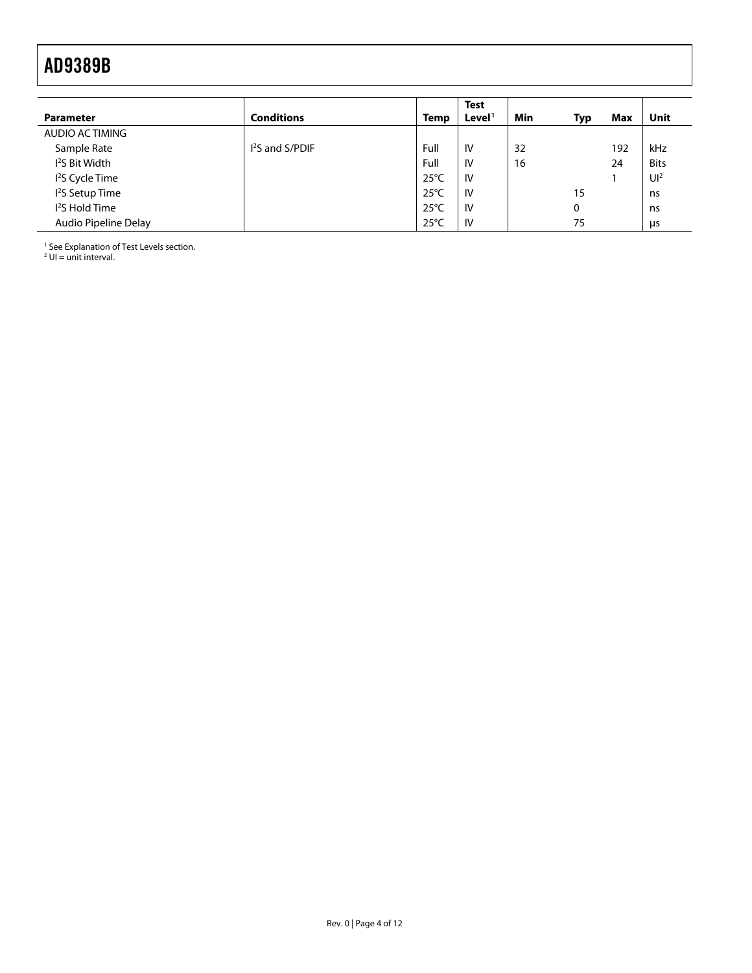<span id="page-3-0"></span>

| <b>Parameter</b>            | <b>Conditions</b>         | Temp           | <b>Test</b><br>Level <sup>1</sup> | Min | Typ | Max | Unit           |
|-----------------------------|---------------------------|----------------|-----------------------------------|-----|-----|-----|----------------|
| AUDIO ACTIMING              |                           |                |                                   |     |     |     |                |
| Sample Rate                 | <sup>2</sup> S and S/PDIF | Full           | IV                                | 32  |     | 192 | kHz            |
| <sup>2</sup> S Bit Width    |                           | Full           | IV                                | 16  |     | 24  | <b>Bits</b>    |
| <sup>2</sup> S Cycle Time   |                           | $25^{\circ}$ C | IV                                |     |     |     | U <sup>2</sup> |
| I <sup>2</sup> S Setup Time |                           | $25^{\circ}$ C | <b>IV</b>                         |     | 15  |     | ns             |
| <sup>2</sup> S Hold Time    |                           | $25^{\circ}$ C | IV                                |     | 0   |     | ns             |
| Audio Pipeline Delay        |                           | $25^{\circ}$ C | IV                                |     | 75  |     | us             |

<sup>1</sup> Se[e Explanation of Test Levels](#page-4-1) section.<br><sup>2</sup> UI = unit interval.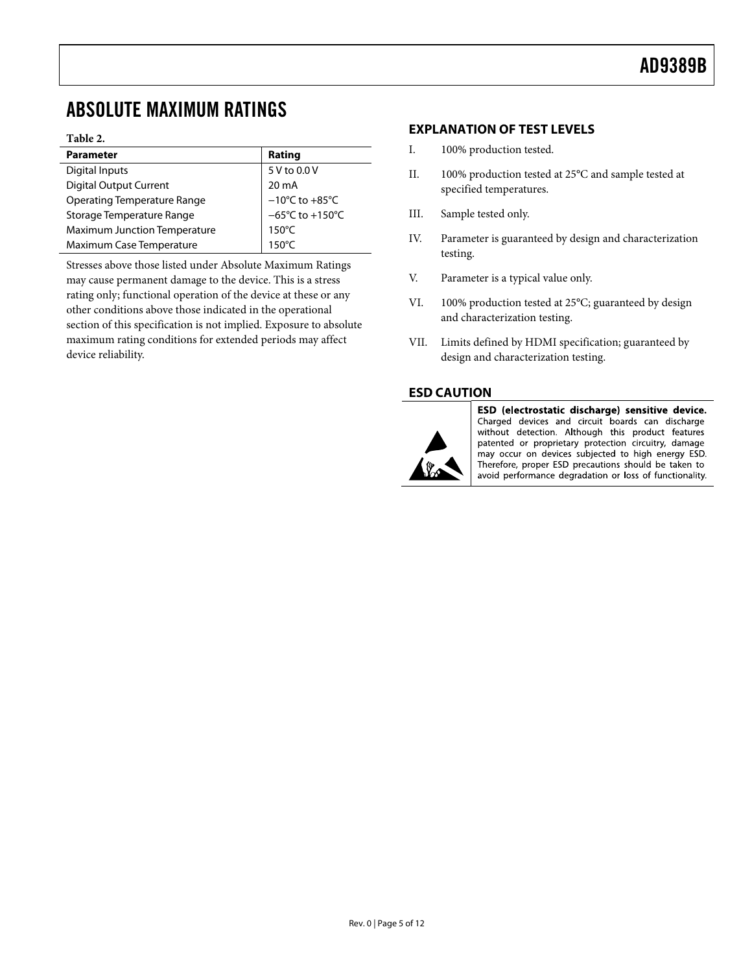## <span id="page-4-1"></span><span id="page-4-0"></span>ABSOLUTE MAXIMUM RATINGS

### **Table 2.**

| <b>Parameter</b>                    | Rating                               |
|-------------------------------------|--------------------------------------|
| Digital Inputs                      | 5 V to 0.0 V                         |
| <b>Digital Output Current</b>       | $20 \text{ mA}$                      |
| <b>Operating Temperature Range</b>  | $-10^{\circ}$ C to $+85^{\circ}$ C   |
| Storage Temperature Range           | $-65^{\circ}$ C to +150 $^{\circ}$ C |
| <b>Maximum Junction Temperature</b> | $150^{\circ}$ C                      |
| Maximum Case Temperature            | $150^{\circ}$ C                      |

Stresses above those listed under Absolute Maximum Ratings may cause permanent damage to the device. This is a stress rating only; functional operation of the device at these or any other conditions above those indicated in the operational section of this specification is not implied. Exposure to absolute maximum rating conditions for extended periods may affect device reliability.

### **EXPLANATION OF TEST LEVELS**

- I. 100% production tested.
- II. 100% production tested at 25°C and sample tested at specified temperatures.
- III. Sample tested only.
- IV. Parameter is guaranteed by design and characterization testing.
- V. Parameter is a typical value only.
- VI. 100% production tested at 25°C; guaranteed by design and characterization testing.
- VII. Limits defined by HDMI specification; guaranteed by design and characterization testing.

### **ESD CAUTION**



ESD (electrostatic discharge) sensitive device. Charged devices and circuit boards can discharge without detection. Although this product features patented or proprietary protection circuitry, damage may occur on devices subjected to high energy ESD. Therefore, proper ESD precautions should be taken to avoid performance degradation or loss of functionality.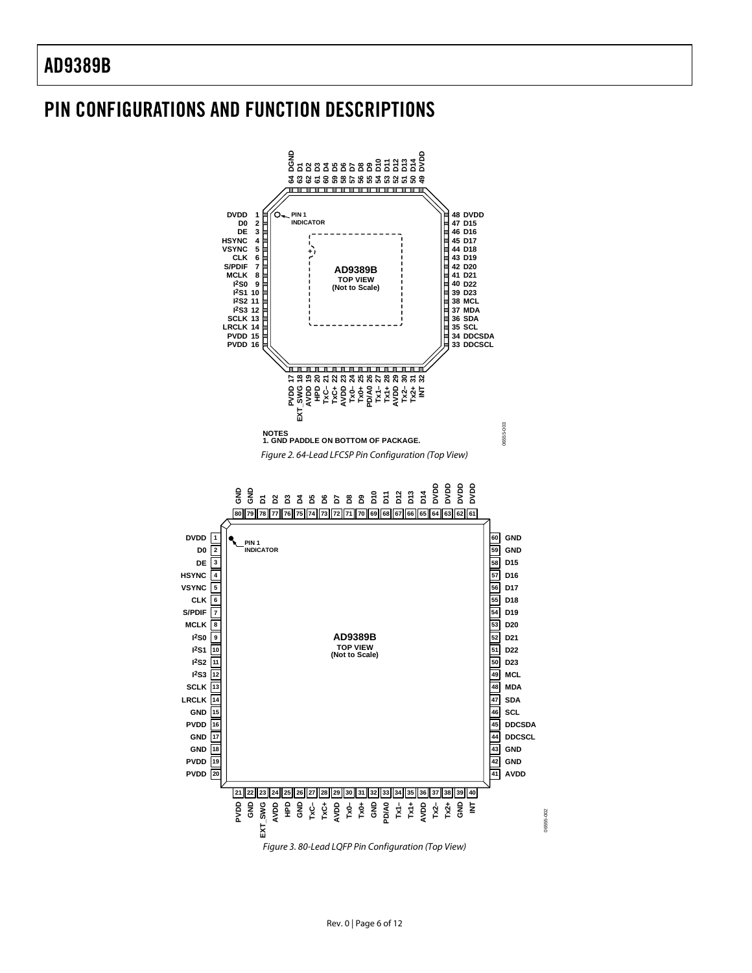### <span id="page-5-0"></span>PIN CONFIGURATIONS AND FUNCTION DESCRIPTIONS

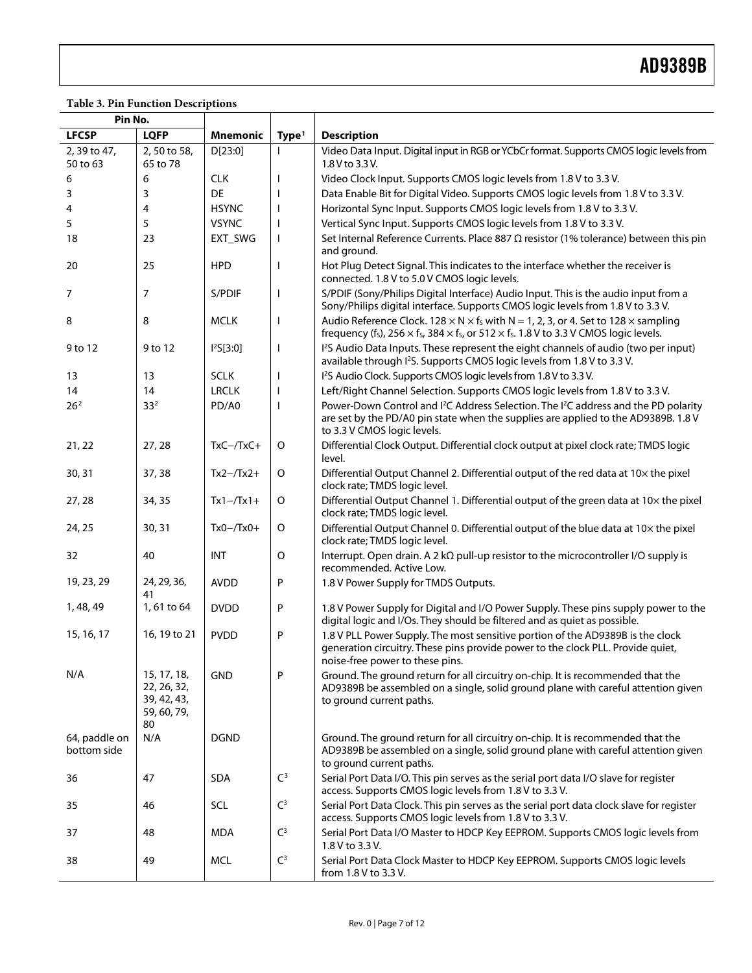### **Table 3. Pin Function Descriptions**

| Pin No.                      |                                                                |                       |                   |                                                                                                                                                                                                                                  |
|------------------------------|----------------------------------------------------------------|-----------------------|-------------------|----------------------------------------------------------------------------------------------------------------------------------------------------------------------------------------------------------------------------------|
| <b>LFCSP</b>                 | <b>LQFP</b>                                                    | <b>Mnemonic</b>       | Type <sup>1</sup> | <b>Description</b>                                                                                                                                                                                                               |
| 2, 39 to 47,<br>50 to 63     | 2,50 to 58,<br>65 to 78                                        | D[23:0]               |                   | Video Data Input. Digital input in RGB or YCbCr format. Supports CMOS logic levels from<br>1.8 V to 3.3 V.                                                                                                                       |
| 6                            | 6                                                              | <b>CLK</b>            |                   | Video Clock Input. Supports CMOS logic levels from 1.8 V to 3.3 V.                                                                                                                                                               |
| 3                            | 3                                                              | <b>DE</b>             |                   | Data Enable Bit for Digital Video. Supports CMOS logic levels from 1.8 V to 3.3 V.                                                                                                                                               |
| 4                            | 4                                                              | <b>HSYNC</b>          |                   | Horizontal Sync Input. Supports CMOS logic levels from 1.8 V to 3.3 V.                                                                                                                                                           |
| 5                            | 5                                                              | <b>VSYNC</b>          |                   | Vertical Sync Input. Supports CMOS logic levels from 1.8 V to 3.3 V.                                                                                                                                                             |
| 18                           | 23                                                             | EXT_SWG               | $\mathbf{I}$      | Set Internal Reference Currents. Place 887 $\Omega$ resistor (1% tolerance) between this pin<br>and ground.                                                                                                                      |
| 20                           | 25                                                             | <b>HPD</b>            | I.                | Hot Plug Detect Signal. This indicates to the interface whether the receiver is<br>connected. 1.8 V to 5.0 V CMOS logic levels.                                                                                                  |
| 7                            | 7                                                              | S/PDIF                |                   | S/PDIF (Sony/Philips Digital Interface) Audio Input. This is the audio input from a<br>Sony/Philips digital interface. Supports CMOS logic levels from 1.8 V to 3.3 V.                                                           |
| 8                            | 8                                                              | <b>MCLK</b>           | $\mathbf{I}$      | Audio Reference Clock. 128 $\times$ N $\times$ f <sub>s</sub> with N = 1, 2, 3, or 4. Set to 128 $\times$ sampling<br>frequency (fs), $256 \times$ fs, $384 \times$ fs, or $512 \times$ fs. 1.8 V to 3.3 V CMOS logic levels.    |
| 9 to 12                      | 9 to 12                                                        | I <sup>2</sup> S[3:0] | $\mathbf{I}$      | I <sup>2</sup> S Audio Data Inputs. These represent the eight channels of audio (two per input)<br>available through I <sup>2</sup> S. Supports CMOS logic levels from 1.8 V to 3.3 V.                                           |
| 13                           | 13                                                             | <b>SCLK</b>           |                   | I <sup>2</sup> S Audio Clock. Supports CMOS logic levels from 1.8 V to 3.3 V.                                                                                                                                                    |
| 14                           | 14                                                             | <b>LRCLK</b>          |                   | Left/Right Channel Selection. Supports CMOS logic levels from 1.8 V to 3.3 V.                                                                                                                                                    |
| 26 <sup>2</sup>              | 33 <sup>2</sup>                                                | PD/A0                 |                   | Power-Down Control and I <sup>2</sup> C Address Selection. The I <sup>2</sup> C address and the PD polarity<br>are set by the PD/A0 pin state when the supplies are applied to the AD9389B. 1.8 V<br>to 3.3 V CMOS logic levels. |
| 21, 22                       | 27,28                                                          | $TxC - /TxC +$        | O                 | Differential Clock Output. Differential clock output at pixel clock rate; TMDS logic<br>level.                                                                                                                                   |
| 30, 31                       | 37, 38                                                         | $Tx2 - Tx2 +$         | O                 | Differential Output Channel 2. Differential output of the red data at 10x the pixel<br>clock rate; TMDS logic level.                                                                                                             |
| 27, 28                       | 34, 35                                                         | $Tx1 - Tx1 +$         | $\mathsf O$       | Differential Output Channel 1. Differential output of the green data at 10x the pixel<br>clock rate; TMDS logic level.                                                                                                           |
| 24, 25                       | 30, 31                                                         | $Tx0 - Tx0 +$         | O                 | Differential Output Channel 0. Differential output of the blue data at 10x the pixel<br>clock rate; TMDS logic level.                                                                                                            |
| 32                           | 40                                                             | <b>INT</b>            | $\mathsf O$       | Interrupt. Open drain. A 2 k $\Omega$ pull-up resistor to the microcontroller I/O supply is<br>recommended. Active Low.                                                                                                          |
| 19, 23, 29                   | 24, 29, 36,<br>41                                              | <b>AVDD</b>           | P                 | 1.8 V Power Supply for TMDS Outputs.                                                                                                                                                                                             |
| 1, 48, 49                    | 1,61 to 64                                                     | <b>DVDD</b>           | P                 | 1.8 V Power Supply for Digital and I/O Power Supply. These pins supply power to the<br>digital logic and I/Os. They should be filtered and as quiet as possible.                                                                 |
| 15, 16, 17                   | 16, 19 to 21                                                   | <b>PVDD</b>           | P                 | 1.8 V PLL Power Supply. The most sensitive portion of the AD9389B is the clock<br>generation circuitry. These pins provide power to the clock PLL. Provide quiet,<br>noise-free power to these pins.                             |
| N/A                          | 15, 17, 18,<br>22, 26, 32,<br>39, 42, 43,<br>59, 60, 79,<br>80 | <b>GND</b>            | P                 | Ground. The ground return for all circuitry on-chip. It is recommended that the<br>AD9389B be assembled on a single, solid ground plane with careful attention given<br>to ground current paths.                                 |
| 64, paddle on<br>bottom side | N/A                                                            | <b>DGND</b>           |                   | Ground. The ground return for all circuitry on-chip. It is recommended that the<br>AD9389B be assembled on a single, solid ground plane with careful attention given<br>to ground current paths.                                 |
| 36                           | 47                                                             | <b>SDA</b>            | C <sup>3</sup>    | Serial Port Data I/O. This pin serves as the serial port data I/O slave for register<br>access. Supports CMOS logic levels from 1.8 V to 3.3 V.                                                                                  |
| 35                           | 46                                                             | <b>SCL</b>            | $\mathsf{C}^3$    | Serial Port Data Clock. This pin serves as the serial port data clock slave for register<br>access. Supports CMOS logic levels from 1.8 V to 3.3 V.                                                                              |
| 37                           | 48                                                             | <b>MDA</b>            | $\mathsf{C}^3$    | Serial Port Data I/O Master to HDCP Key EEPROM. Supports CMOS logic levels from<br>1.8 V to 3.3 V.                                                                                                                               |
| 38                           | 49                                                             | <b>MCL</b>            | $\mathsf{C}^3$    | Serial Port Data Clock Master to HDCP Key EEPROM. Supports CMOS logic levels<br>from 1.8 V to 3.3 V.                                                                                                                             |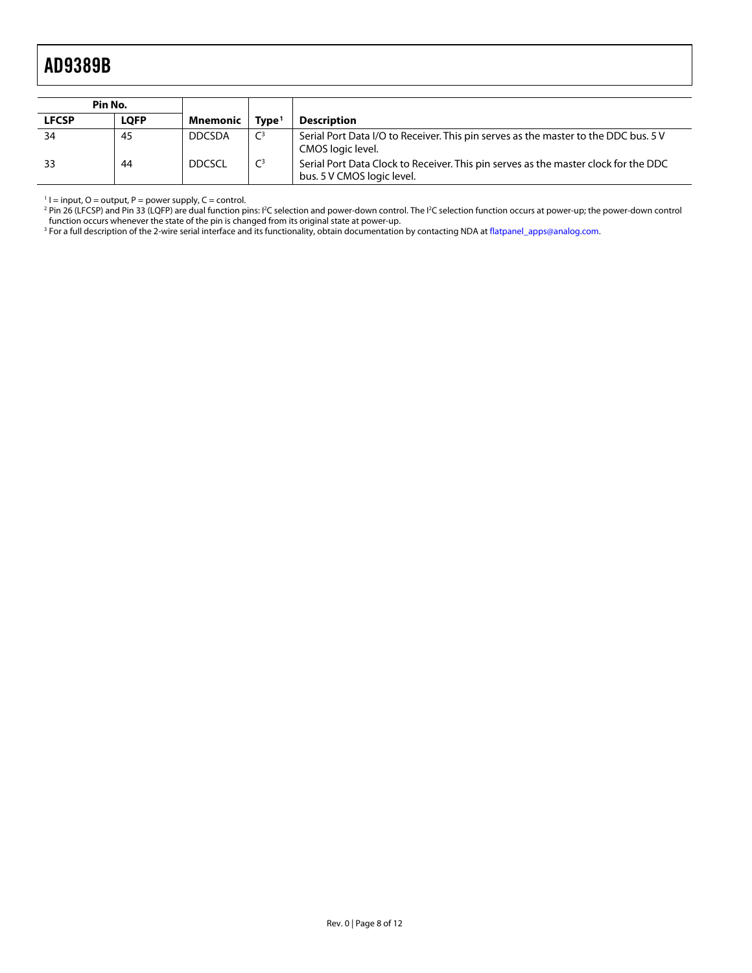<span id="page-7-0"></span>

| Pin No.      |             |                 |                   |                                                                                                                   |
|--------------|-------------|-----------------|-------------------|-------------------------------------------------------------------------------------------------------------------|
| <b>LFCSP</b> | <b>LOFP</b> | <b>Mnemonic</b> | Tvpe <sup>1</sup> | <b>Description</b>                                                                                                |
| -34          | 45          | <b>DDCSDA</b>   | $\mathsf{C}^3$    | Serial Port Data I/O to Receiver. This pin serves as the master to the DDC bus. 5 V<br>CMOS logic level.          |
| -33          | 44          | <b>DDCSCL</b>   | $\mathsf{C}^3$    | Serial Port Data Clock to Receiver. This pin serves as the master clock for the DDC<br>bus. 5 V CMOS logic level. |

' I = input, O = output, P = power supply, C = control.<br><sup>2</sup> Pin 26 (LFCSP) and Pin 33 (LQFP) are dual function pins: I<sup>2</sup>C selection and power-down control. The I<sup>2</sup>C selection function occurs at power-up; the power-down

function occurs whenever the state of the pin is changed from its original state at power-up.<br><sup>3</sup> For a full description of the 2-wire serial interface and its functionality, obtain documentation by contacting NDA at flat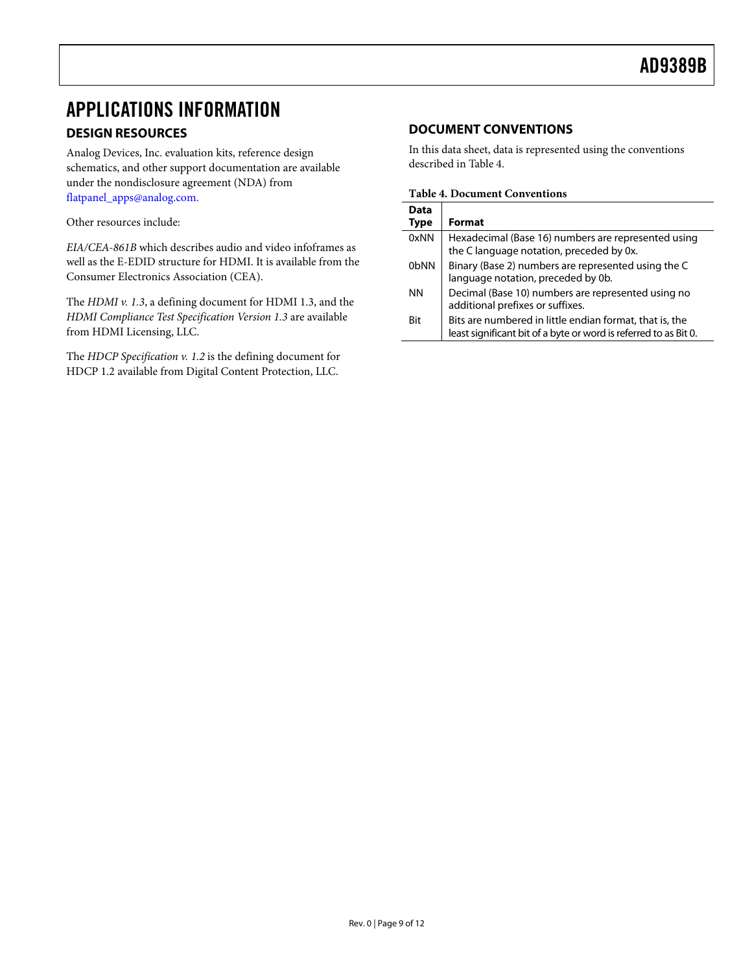### <span id="page-8-0"></span>APPLICATIONS INFORMATION

### **DESIGN RESOURCES**

Analog Devices, Inc. evaluation kits, reference design schematics, and other support documentation are available under the nondisclosure agreement (NDA) from [flatpanel\\_apps@analog.com.](mailto:flatpanel_apps@analog.com)

<span id="page-8-1"></span>Other resources include:

*EIA/CEA-861B* which describes audio and video infoframes as well as the E-EDID structure for HDMI. It is available from the Consumer Electronics Association (CEA).

The *HDMI v. 1.3*, a defining document for HDMI 1.3, and the *HDMI Compliance Test Specification Version 1.3* are available from HDMI Licensing, LLC.

The *HDCP Specification v. 1.2* is the defining document for HDCP 1.2 available from Digital Content Protection, LLC.

### **DOCUMENT CONVENTIONS**

In this data sheet, data is represented using the conventions described in [Table 4](#page-8-1).

### **Table 4. Document Conventions**

| Data<br>Type | <b>Format</b>                                                                                                               |
|--------------|-----------------------------------------------------------------------------------------------------------------------------|
| 0xNN         | Hexadecimal (Base 16) numbers are represented using<br>the C language notation, preceded by 0x.                             |
| 0bNN         | Binary (Base 2) numbers are represented using the C<br>language notation, preceded by 0b.                                   |
| NN.          | Decimal (Base 10) numbers are represented using no<br>additional prefixes or suffixes.                                      |
| Bit          | Bits are numbered in little endian format, that is, the<br>least significant bit of a byte or word is referred to as Bit 0. |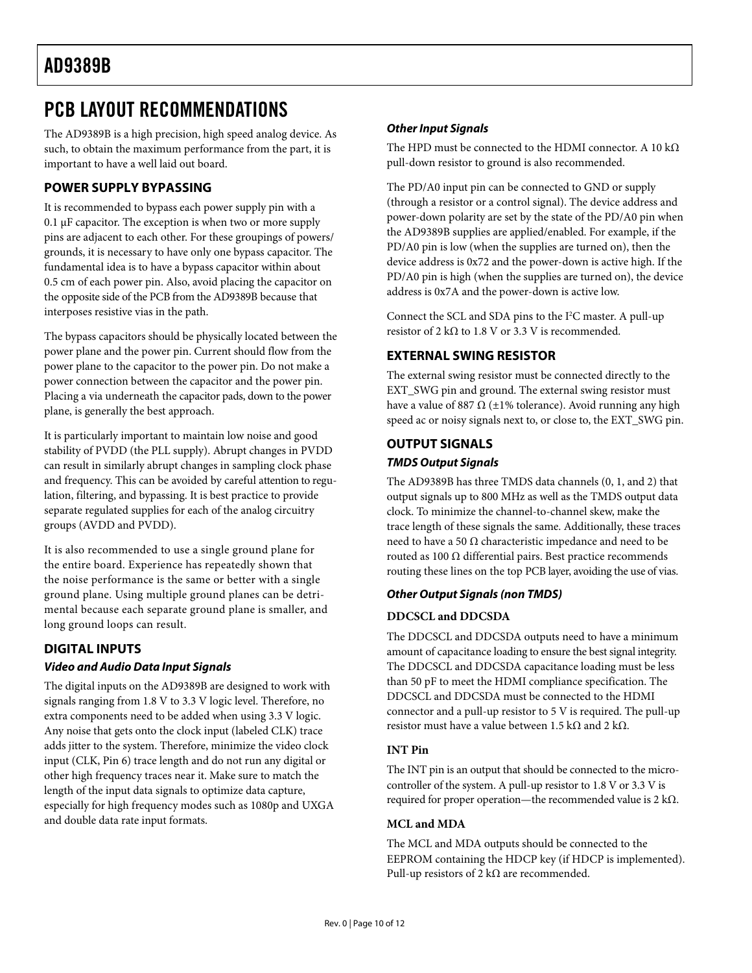## <span id="page-9-0"></span>PCB LAYOUT RECOMMENDATIONS

The AD9389B is a high precision, high speed analog device. As such, to obtain the maximum performance from the part, it is important to have a well laid out board.

### **POWER SUPPLY BYPASSING**

It is recommended to bypass each power supply pin with a 0.1 μF capacitor. The exception is when two or more supply pins are adjacent to each other. For these groupings of powers/ grounds, it is necessary to have only one bypass capacitor. The fundamental idea is to have a bypass capacitor within about 0.5 cm of each power pin. Also, avoid placing the capacitor on the opposite side of the PCB from the AD9389B because that interposes resistive vias in the path.

The bypass capacitors should be physically located between the power plane and the power pin. Current should flow from the power plane to the capacitor to the power pin. Do not make a power connection between the capacitor and the power pin. Placing a via underneath the capacitor pads, down to the power plane, is generally the best approach.

It is particularly important to maintain low noise and good stability of PVDD (the PLL supply). Abrupt changes in PVDD can result in similarly abrupt changes in sampling clock phase and frequency. This can be avoided by careful attention to regulation, filtering, and bypassing. It is best practice to provide separate regulated supplies for each of the analog circuitry groups (AVDD and PVDD).

It is also recommended to use a single ground plane for the entire board. Experience has repeatedly shown that the noise performance is the same or better with a single ground plane. Using multiple ground planes can be detrimental because each separate ground plane is smaller, and long ground loops can result.

### **DIGITAL INPUTS Video and Audio Data Input Signals**

The digital inputs on the AD9389B are designed to work with signals ranging from 1.8 V to 3.3 V logic level. Therefore, no extra components need to be added when using 3.3 V logic. Any noise that gets onto the clock input (labeled CLK) trace adds jitter to the system. Therefore, minimize the video clock input (CLK, Pin 6) trace length and do not run any digital or other high frequency traces near it. Make sure to match the length of the input data signals to optimize data capture, especially for high frequency modes such as 1080p and UXGA and double data rate input formats.

### **Other Input Signals**

The HPD must be connected to the HDMI connector. A 10 k $\Omega$ pull-down resistor to ground is also recommended.

The PD/A0 input pin can be connected to GND or supply (through a resistor or a control signal). The device address and power-down polarity are set by the state of the PD/A0 pin when the AD9389B supplies are applied/enabled. For example, if the PD/A0 pin is low (when the supplies are turned on), then the device address is 0x72 and the power-down is active high. If the PD/A0 pin is high (when the supplies are turned on), the device address is 0x7A and the power-down is active low.

Connect the SCL and SDA pins to the I<sup>2</sup>C master. A pull-up resistor of 2 k $\Omega$  to 1.8 V or 3.3 V is recommended.

### **EXTERNAL SWING RESISTOR**

The external swing resistor must be connected directly to the EXT\_SWG pin and ground. The external swing resistor must have a value of 887  $\Omega$  (±1% tolerance). Avoid running any high speed ac or noisy signals next to, or close to, the EXT\_SWG pin.

### **OUTPUT SIGNALS TMDS Output Signals**

The AD9389B has three TMDS data channels (0, 1, and 2) that output signals up to 800 MHz as well as the TMDS output data clock. To minimize the channel-to-channel skew, make the trace length of these signals the same. Additionally, these traces need to have a 50  $Ω$  characteristic impedance and need to be routed as 100 Ω differential pairs. Best practice recommends routing these lines on the top PCB layer, avoiding the use of vias.

### **Other Output Signals (non TMDS)**

### **DDCSCL and DDCSDA**

The DDCSCL and DDCSDA outputs need to have a minimum amount of capacitance loading to ensure the best signal integrity. The DDCSCL and DDCSDA capacitance loading must be less than 50 pF to meet the HDMI compliance specification. The DDCSCL and DDCSDA must be connected to the HDMI connector and a pull-up resistor to 5 V is required. The pull-up resistor must have a value between 1.5 kΩ and 2 kΩ.

### **INT Pin**

The INT pin is an output that should be connected to the microcontroller of the system. A pull-up resistor to 1.8 V or 3.3 V is required for proper operation—the recommended value is 2 kΩ.

### **MCL and MDA**

The MCL and MDA outputs should be connected to the EEPROM containing the HDCP key (if HDCP is implemented). Pull-up resistors of 2 k $\Omega$  are recommended.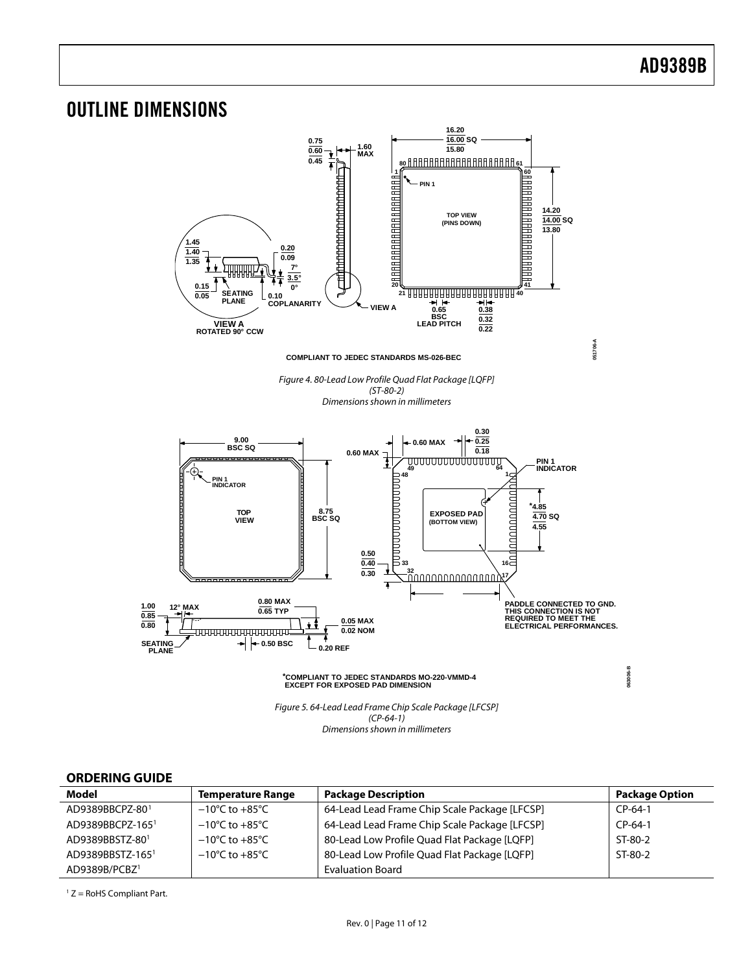<span id="page-10-0"></span>

### **ORDERING GUIDE**

<span id="page-10-1"></span>

| Model                     | <b>Temperature Range</b>           | <b>Package Description</b>                    | <b>Package Option</b> |
|---------------------------|------------------------------------|-----------------------------------------------|-----------------------|
| AD9389BBCPZ-801           | $-10^{\circ}$ C to $+85^{\circ}$ C | 64-Lead Lead Frame Chip Scale Package [LFCSP] | $CP-64-1$             |
| AD9389BBCPZ-1651          | $-10^{\circ}$ C to $+85^{\circ}$ C | 64-Lead Lead Frame Chip Scale Package [LFCSP] | $CP-64-1$             |
| AD9389BBSTZ-801           | $-10^{\circ}$ C to $+85^{\circ}$ C | 80-Lead Low Profile Quad Flat Package [LQFP]  | $ST-80-2$             |
| AD9389BBSTZ-1651          | $-10^{\circ}$ C to $+85^{\circ}$ C | 80-Lead Low Profile Quad Flat Package [LQFP]  | ST-80-2               |
| AD9389B/PCBZ <sup>1</sup> |                                    | <b>Evaluation Board</b>                       |                       |

 $1 Z =$  RoHS Compliant Part.